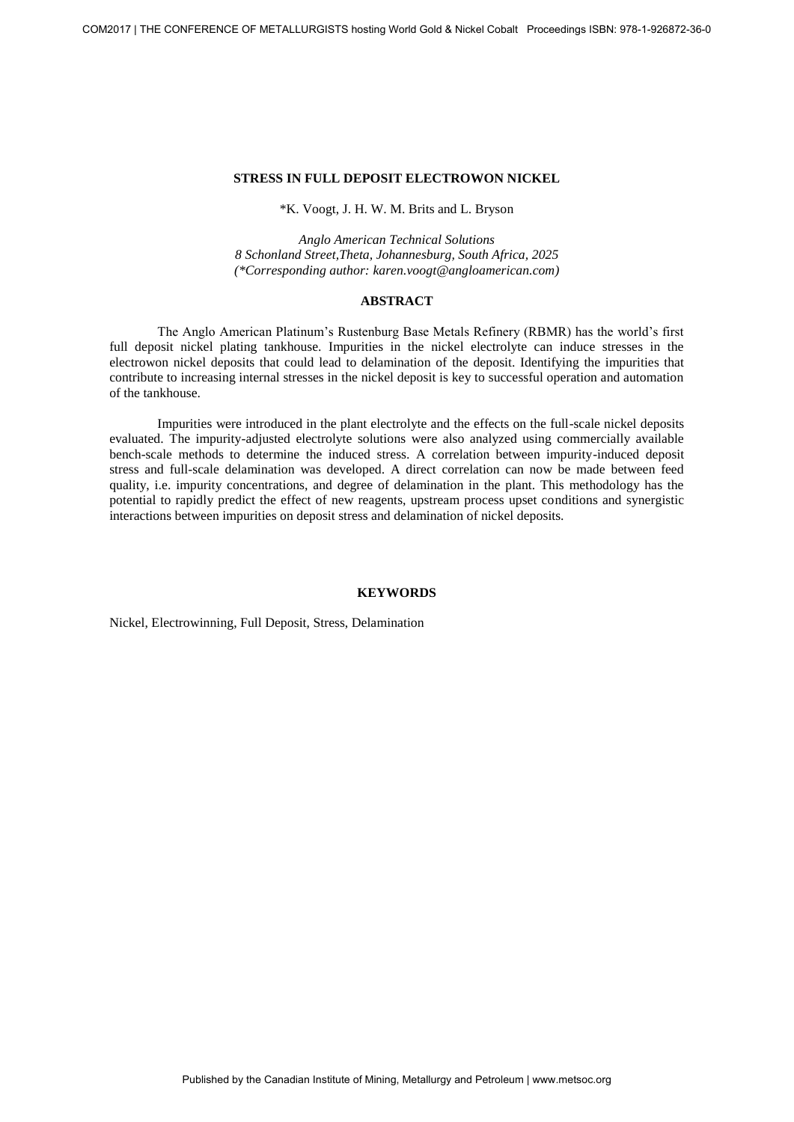#### **STRESS IN FULL DEPOSIT ELECTROWON NICKEL**

\*K. Voogt, J. H. W. M. Brits and L. Bryson

*Anglo American Technical Solutions 8 Schonland Street,Theta, Johannesburg, South Africa, 2025 (\*Corresponding author: karen.voogt@angloamerican.com)* 

## **ABSTRACT**

The Anglo American Platinum's Rustenburg Base Metals Refinery (RBMR) has the world's first full deposit nickel plating tankhouse. Impurities in the nickel electrolyte can induce stresses in the electrowon nickel deposits that could lead to delamination of the deposit. Identifying the impurities that contribute to increasing internal stresses in the nickel deposit is key to successful operation and automation of the tankhouse.

Impurities were introduced in the plant electrolyte and the effects on the full-scale nickel deposits evaluated. The impurity-adjusted electrolyte solutions were also analyzed using commercially available bench-scale methods to determine the induced stress. A correlation between impurity-induced deposit stress and full-scale delamination was developed. A direct correlation can now be made between feed quality, i.e. impurity concentrations, and degree of delamination in the plant. This methodology has the potential to rapidly predict the effect of new reagents, upstream process upset conditions and synergistic interactions between impurities on deposit stress and delamination of nickel deposits. COM2017 | THE CONFERENCE OF METALLURGISTS hosting World Gold Exposure The Cobalt Proceedings ISBN: 978-1-926872-26-0 PUBLiSTS HOST PROCESS TRUCT WAS THE CANADIAN TO A Nickel Cobalt Process Trench, Journal Cobalt Process T

## **KEYWORDS**

Nickel, Electrowinning, Full Deposit, Stress, Delamination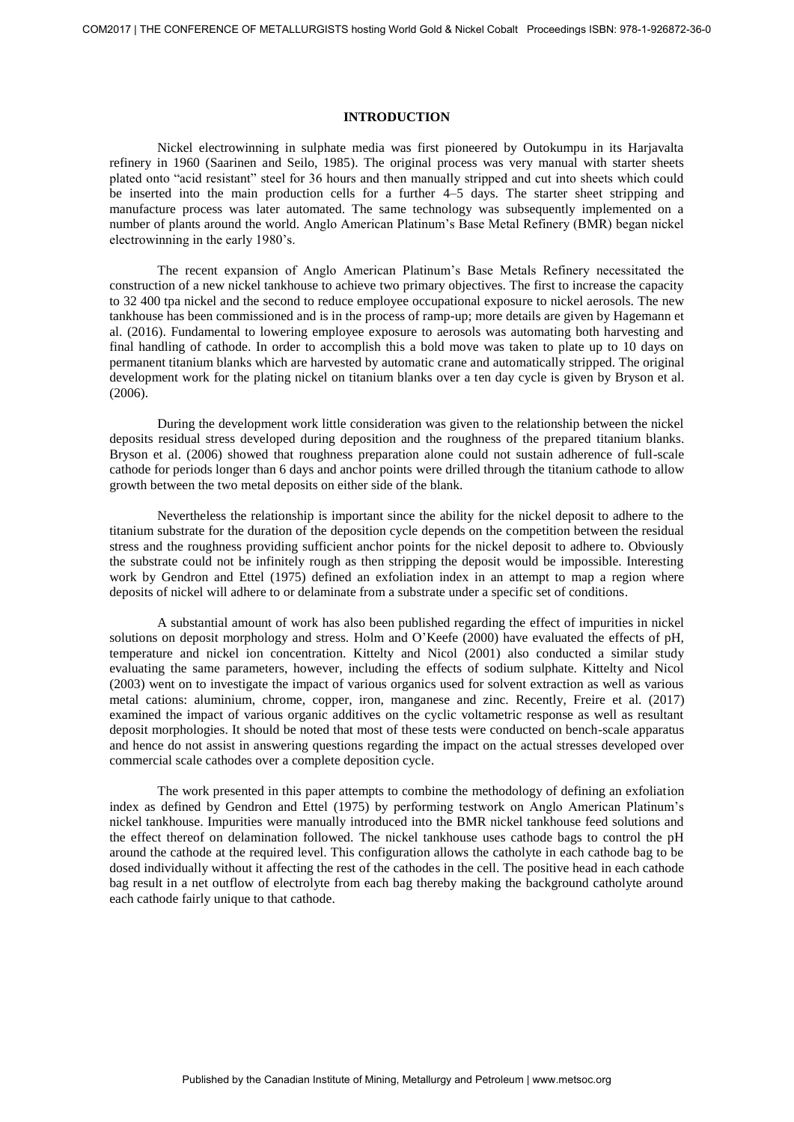# **INTRODUCTION**

Nickel electrowinning in sulphate media was first pioneered by Outokumpu in its Harjavalta refinery in 1960 (Saarinen and Seilo, 1985). The original process was very manual with starter sheets plated onto "acid resistant" steel for 36 hours and then manually stripped and cut into sheets which could be inserted into the main production cells for a further 4–5 days. The starter sheet stripping and manufacture process was later automated. The same technology was subsequently implemented on a number of plants around the world. Anglo American Platinum's Base Metal Refinery (BMR) began nickel electrowinning in the early 1980's.

The recent expansion of Anglo American Platinum's Base Metals Refinery necessitated the construction of a new nickel tankhouse to achieve two primary objectives. The first to increase the capacity to 32 400 tpa nickel and the second to reduce employee occupational exposure to nickel aerosols. The new tankhouse has been commissioned and is in the process of ramp-up; more details are given by Hagemann et al. (2016). Fundamental to lowering employee exposure to aerosols was automating both harvesting and final handling of cathode. In order to accomplish this a bold move was taken to plate up to 10 days on permanent titanium blanks which are harvested by automatic crane and automatically stripped. The original development work for the plating nickel on titanium blanks over a ten day cycle is given by Bryson et al. (2006).

During the development work little consideration was given to the relationship between the nickel deposits residual stress developed during deposition and the roughness of the prepared titanium blanks. Bryson et al. (2006) showed that roughness preparation alone could not sustain adherence of full-scale cathode for periods longer than 6 days and anchor points were drilled through the titanium cathode to allow growth between the two metal deposits on either side of the blank.

Nevertheless the relationship is important since the ability for the nickel deposit to adhere to the titanium substrate for the duration of the deposition cycle depends on the competition between the residual stress and the roughness providing sufficient anchor points for the nickel deposit to adhere to. Obviously the substrate could not be infinitely rough as then stripping the deposit would be impossible. Interesting work by Gendron and Ettel (1975) defined an exfoliation index in an attempt to map a region where deposits of nickel will adhere to or delaminate from a substrate under a specific set of conditions.

A substantial amount of work has also been published regarding the effect of impurities in nickel solutions on deposit morphology and stress. Holm and O'Keefe (2000) have evaluated the effects of pH, temperature and nickel ion concentration. Kittelty and Nicol (2001) also conducted a similar study evaluating the same parameters, however, including the effects of sodium sulphate. Kittelty and Nicol (2003) went on to investigate the impact of various organics used for solvent extraction as well as various metal cations: aluminium, chrome, copper, iron, manganese and zinc. Recently, Freire et al. (2017) examined the impact of various organic additives on the cyclic voltametric response as well as resultant deposit morphologies. It should be noted that most of these tests were conducted on bench-scale apparatus and hence do not assist in answering questions regarding the impact on the actual stresses developed over commercial scale cathodes over a complete deposition cycle. CONSERVATIVE CONFERENCE OF METALLURGISTS hosting work Gold River Cobalt Proceedings in the Heirard Cobalt Proceedings ISBN: 978-1-926872-26-0 Published and the Canadian Institute of Minister and Sales Proceedings ISBN: 97

The work presented in this paper attempts to combine the methodology of defining an exfoliation index as defined by Gendron and Ettel (1975) by performing testwork on Anglo American Platinum's nickel tankhouse. Impurities were manually introduced into the BMR nickel tankhouse feed solutions and the effect thereof on delamination followed. The nickel tankhouse uses cathode bags to control the pH around the cathode at the required level. This configuration allows the catholyte in each cathode bag to be dosed individually without it affecting the rest of the cathodes in the cell. The positive head in each cathode bag result in a net outflow of electrolyte from each bag thereby making the background catholyte around each cathode fairly unique to that cathode.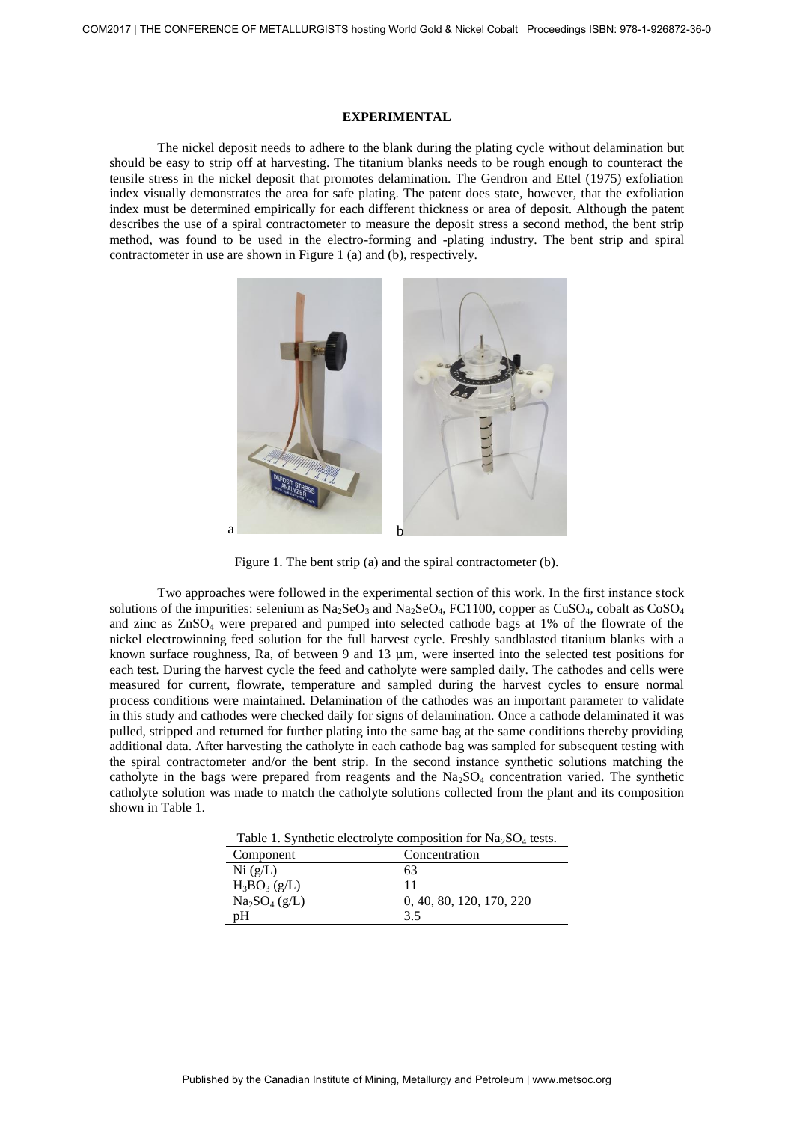### **EXPERIMENTAL**

The nickel deposit needs to adhere to the blank during the plating cycle without delamination but should be easy to strip off at harvesting. The titanium blanks needs to be rough enough to counteract the tensile stress in the nickel deposit that promotes delamination. The Gendron and Ettel (1975) exfoliation index visually demonstrates the area for safe plating. The patent does state, however, that the exfoliation index must be determined empirically for each different thickness or area of deposit. Although the patent describes the use of a spiral contractometer to measure the deposit stress a second method, the bent strip method, was found to be used in the electro-forming and -plating industry. The bent strip and spiral contractometer in use are shown in Figure 1 (a) and (b), respectively.



Figure 1. The bent strip (a) and the spiral contractometer (b).

Two approaches were followed in the experimental section of this work. In the first instance stock solutions of the impurities: selenium as  $Na_2SeO_3$  and  $Na_2SeO_4$ ,  $FC1100$ , copper as  $CuSO_4$ , cobalt as  $CoSO_4$ and zinc as  $ZnSO<sub>4</sub>$  were prepared and pumped into selected cathode bags at 1% of the flowrate of the nickel electrowinning feed solution for the full harvest cycle. Freshly sandblasted titanium blanks with a known surface roughness, Ra, of between 9 and 13 µm, were inserted into the selected test positions for each test. During the harvest cycle the feed and catholyte were sampled daily. The cathodes and cells were measured for current, flowrate, temperature and sampled during the harvest cycles to ensure normal process conditions were maintained. Delamination of the cathodes was an important parameter to validate in this study and cathodes were checked daily for signs of delamination. Once a cathode delaminated it was pulled, stripped and returned for further plating into the same bag at the same conditions thereby providing additional data. After harvesting the catholyte in each cathode bag was sampled for subsequent testing with the spiral contractometer and/or the bent strip. In the second instance synthetic solutions matching the catholyte in the bags were prepared from reagents and the  $Na<sub>2</sub>SO<sub>4</sub>$  concentration varied. The synthetic catholyte solution was made to match the catholyte solutions collected from the plant and its composition shown in Table 1. COM2017 | The COMPERENCE OF METALLURGISTS hearing work disk this column content of Minimal Computer in the Canadian Computer in the Canadian Computer in the Canadian Institute of Minimal Computer ISBN: 978-1-926872-36-0 P

Table 1. Synthetic electrolyte composition for  $Na<sub>2</sub>SO<sub>4</sub>$  tests.

| Component                             | Concentration            |
|---------------------------------------|--------------------------|
| Ni (g/L)                              | 63                       |
| $H_3BO_3(g/L)$                        | 11                       |
| Na <sub>2</sub> SO <sub>4</sub> (g/L) | 0, 40, 80, 120, 170, 220 |
| pΗ                                    | 35                       |
|                                       |                          |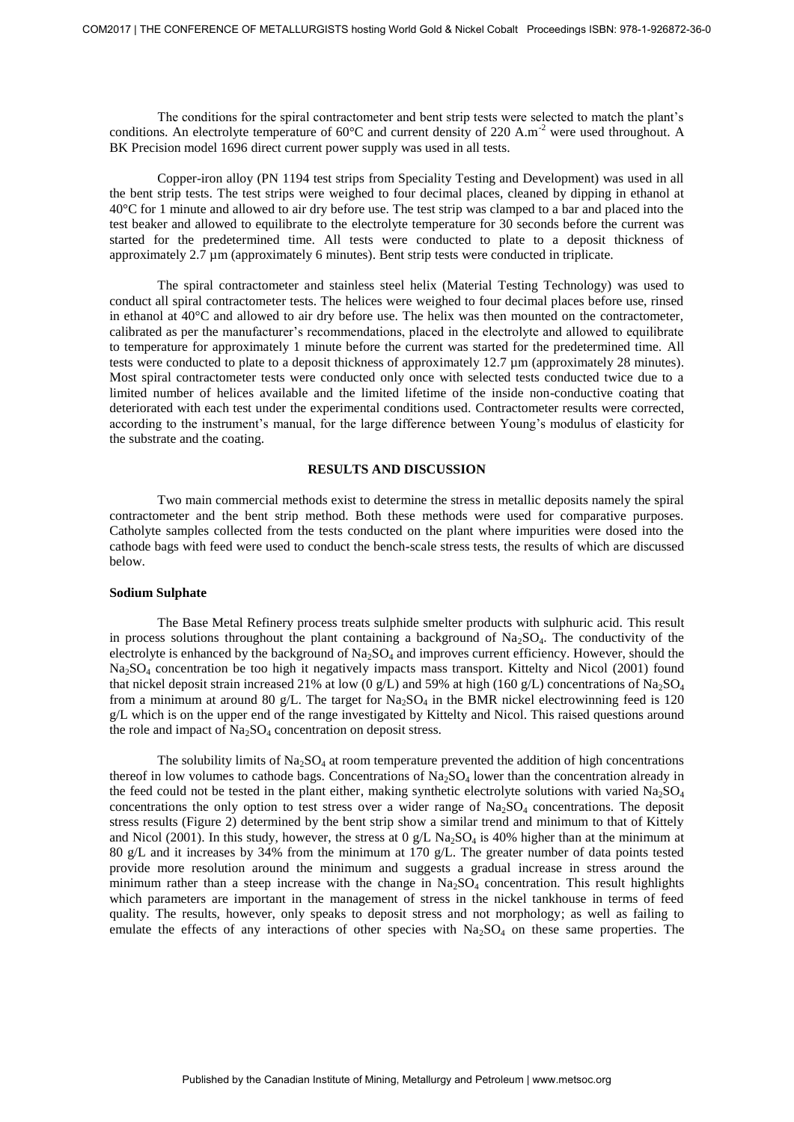The conditions for the spiral contractometer and bent strip tests were selected to match the plant's conditions. An electrolyte temperature of  $60^{\circ}$ C and current density of 220 A.m<sup>-2</sup> were used throughout. A BK Precision model 1696 direct current power supply was used in all tests.

Copper-iron alloy (PN 1194 test strips from Speciality Testing and Development) was used in all the bent strip tests. The test strips were weighed to four decimal places, cleaned by dipping in ethanol at 40°C for 1 minute and allowed to air dry before use. The test strip was clamped to a bar and placed into the test beaker and allowed to equilibrate to the electrolyte temperature for 30 seconds before the current was started for the predetermined time. All tests were conducted to plate to a deposit thickness of approximately 2.7 µm (approximately 6 minutes). Bent strip tests were conducted in triplicate.

The spiral contractometer and stainless steel helix (Material Testing Technology) was used to conduct all spiral contractometer tests. The helices were weighed to four decimal places before use, rinsed in ethanol at 40°C and allowed to air dry before use. The helix was then mounted on the contractometer, calibrated as per the manufacturer's recommendations, placed in the electrolyte and allowed to equilibrate to temperature for approximately 1 minute before the current was started for the predetermined time. All tests were conducted to plate to a deposit thickness of approximately 12.7 µm (approximately 28 minutes). Most spiral contractometer tests were conducted only once with selected tests conducted twice due to a limited number of helices available and the limited lifetime of the inside non-conductive coating that deteriorated with each test under the experimental conditions used. Contractometer results were corrected, according to the instrument's manual, for the large difference between Young's modulus of elasticity for the substrate and the coating.

#### **RESULTS AND DISCUSSION**

Two main commercial methods exist to determine the stress in metallic deposits namely the spiral contractometer and the bent strip method. Both these methods were used for comparative purposes. Catholyte samples collected from the tests conducted on the plant where impurities were dosed into the cathode bags with feed were used to conduct the bench-scale stress tests, the results of which are discussed below.

## **Sodium Sulphate**

The Base Metal Refinery process treats sulphide smelter products with sulphuric acid. This result in process solutions throughout the plant containing a background of  $Na<sub>2</sub>SO<sub>4</sub>$ . The conductivity of the electrolyte is enhanced by the background of  $Na_2SO_4$  and improves current efficiency. However, should the Na<sub>2</sub>SO<sub>4</sub> concentration be too high it negatively impacts mass transport. Kittelty and Nicol (2001) found that nickel deposit strain increased 21% at low (0 g/L) and 59% at high (160 g/L) concentrations of Na<sub>2</sub>SO<sub>4</sub> from a minimum at around 80 g/L. The target for  $Na<sub>2</sub>SO<sub>4</sub>$  in the BMR nickel electrowinning feed is 120 g/L which is on the upper end of the range investigated by Kittelty and Nicol. This raised questions around the role and impact of  $Na<sub>2</sub>SO<sub>4</sub>$  concentration on deposit stress.

The solubility limits of  $Na<sub>2</sub>SO<sub>4</sub>$  at room temperature prevented the addition of high concentrations thereof in low volumes to cathode bags. Concentrations of  $Na<sub>2</sub>SO<sub>4</sub>$  lower than the concentration already in the feed could not be tested in the plant either, making synthetic electrolyte solutions with varied  $Na_2SO_4$ concentrations the only option to test stress over a wider range of  $Na<sub>2</sub>SO<sub>4</sub>$  concentrations. The deposit stress results (Figure 2) determined by the bent strip show a similar trend and minimum to that of Kittely and Nicol (2001). In this study, however, the stress at 0  $g/L$  Na<sub>2</sub>SO<sub>4</sub> is 40% higher than at the minimum at 80 g/L and it increases by 34% from the minimum at 170 g/L. The greater number of data points tested provide more resolution around the minimum and suggests a gradual increase in stress around the minimum rather than a steep increase with the change in  $Na<sub>2</sub>SO<sub>4</sub>$  concentration. This result highlights which parameters are important in the management of stress in the nickel tankhouse in terms of feed quality. The results, however, only speaks to deposit stress and not morphology; as well as failing to emulate the effects of any interactions of other species with  $Na<sub>2</sub>SO<sub>4</sub>$  on these same properties. The COM2017 | The COMERERE OF METALLURGISTS hosting Work Gold Mining Gold and The Conference of the Nickel Cobalt Proceedings ISBN: 978-1-926872-36-0 Published by the Canadian Institute of Mining Conference of Mining Conferen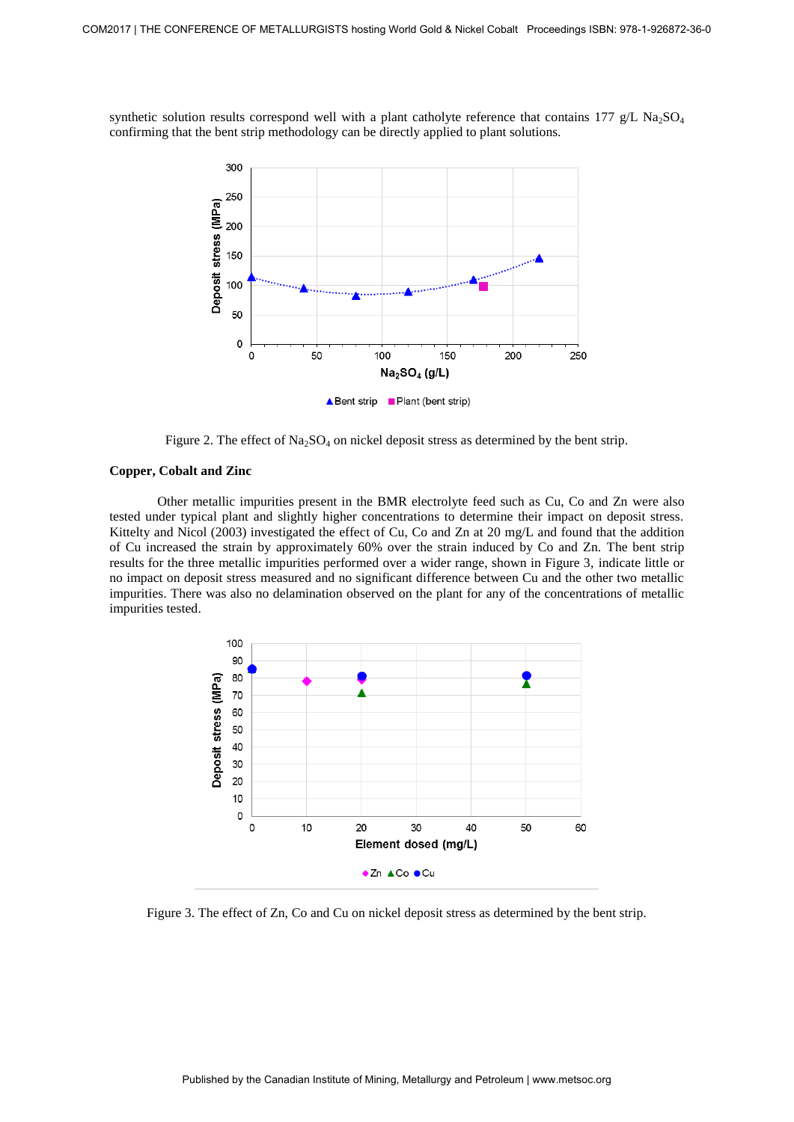synthetic solution results correspond well with a plant catholyte reference that contains 177 g/L Na<sub>2</sub>SO<sub>4</sub> confirming that the bent strip methodology can be directly applied to plant solutions.



Figure 2. The effect of  $Na<sub>2</sub>SO<sub>4</sub>$  on nickel deposit stress as determined by the bent strip.

### **Copper, Cobalt and Zinc**

Other metallic impurities present in the BMR electrolyte feed such as Cu, Co and Zn were also tested under typical plant and slightly higher concentrations to determine their impact on deposit stress. Kittelty and Nicol (2003) investigated the effect of Cu, Co and Zn at 20 mg/L and found that the addition of Cu increased the strain by approximately 60% over the strain induced by Co and Zn. The bent strip results for the three metallic impurities performed over a wider range, shown in Figure 3, indicate little or no impact on deposit stress measured and no significant difference between Cu and the other two metallic impurities. There was also no delamination observed on the plant for any of the concentrations of metallic impurities tested.



Figure 3. The effect of Zn, Co and Cu on nickel deposit stress as determined by the bent strip.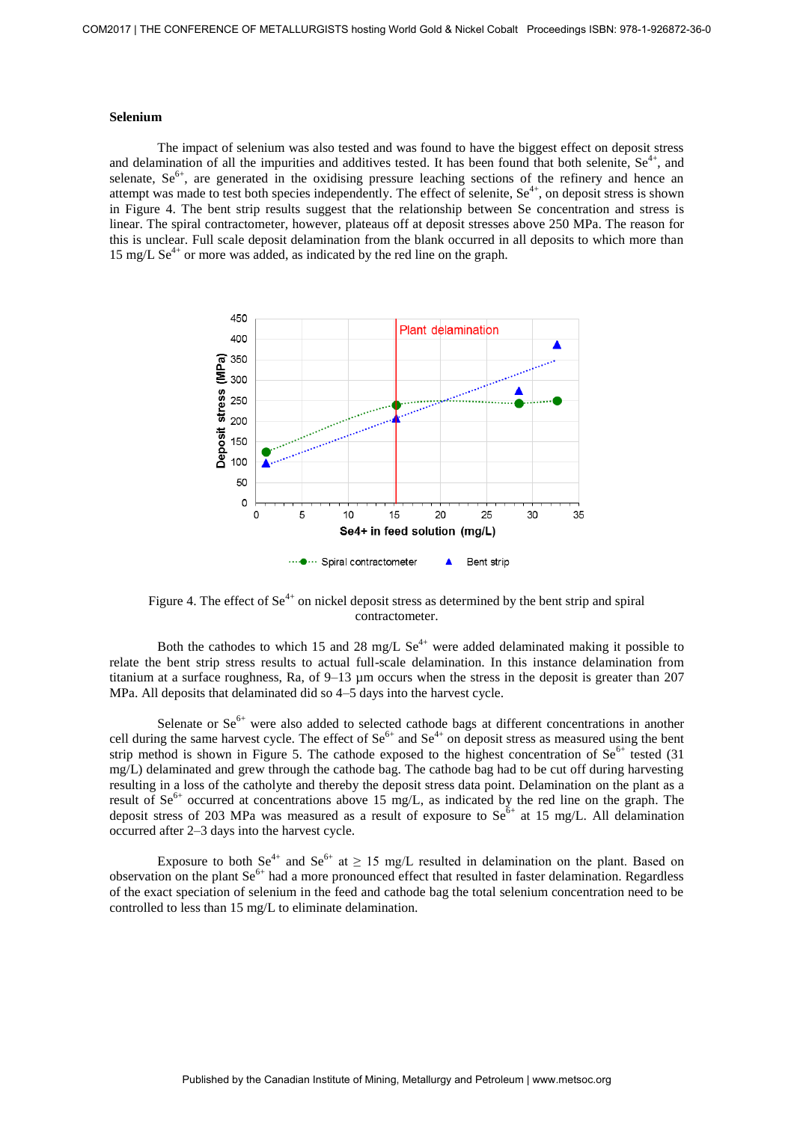### **Selenium**

The impact of selenium was also tested and was found to have the biggest effect on deposit stress and delamination of all the impurities and additives tested. It has been found that both selenite,  $Se^{4+}$ , and selenate,  $Se^{6+}$ , are generated in the oxidising pressure leaching sections of the refinery and hence an attempt was made to test both species independently. The effect of selenite, Se<sup>4+</sup>, on deposit stress is shown in Figure 4. The bent strip results suggest that the relationship between Se concentration and stress is linear. The spiral contractometer, however, plateaus off at deposit stresses above 250 MPa. The reason for this is unclear. Full scale deposit delamination from the blank occurred in all deposits to which more than 15 mg/L  $\text{Se}^{4+}$  or more was added, as indicated by the red line on the graph.



Figure 4. The effect of  $Se^{4+}$  on nickel deposit stress as determined by the bent strip and spiral contractometer.

Both the cathodes to which 15 and 28 mg/L  $\text{Se}^{4+}$  were added delaminated making it possible to relate the bent strip stress results to actual full-scale delamination. In this instance delamination from titanium at a surface roughness, Ra, of 9–13 µm occurs when the stress in the deposit is greater than 207 MPa. All deposits that delaminated did so 4–5 days into the harvest cycle.

Selenate or  $Se^{6+}$  were also added to selected cathode bags at different concentrations in another cell during the same harvest cycle. The effect of  $Se^{6+}$  and  $Se^{4+}$  on deposit stress as measured using the bent strip method is shown in Figure 5. The cathode exposed to the highest concentration of  $Se^{6+}$  tested (31) mg/L) delaminated and grew through the cathode bag. The cathode bag had to be cut off during harvesting resulting in a loss of the catholyte and thereby the deposit stress data point. Delamination on the plant as a result of  $Se^{6+}$  occurred at concentrations above 15 mg/L, as indicated by the red line on the graph. The deposit stress of 203 MPa was measured as a result of exposure to  $Se^{6+}$  at 15 mg/L. All delamination occurred after 2–3 days into the harvest cycle.

Exposure to both Se<sup>4+</sup> and Se<sup>6+</sup> at  $\geq$  15 mg/L resulted in delamination on the plant. Based on observation on the plant Se<sup>6+</sup> had a more pronounced effect that resulted in faster delamination. Regardless of the exact speciation of selenium in the feed and cathode bag the total selenium concentration need to be controlled to less than 15 mg/L to eliminate delamination.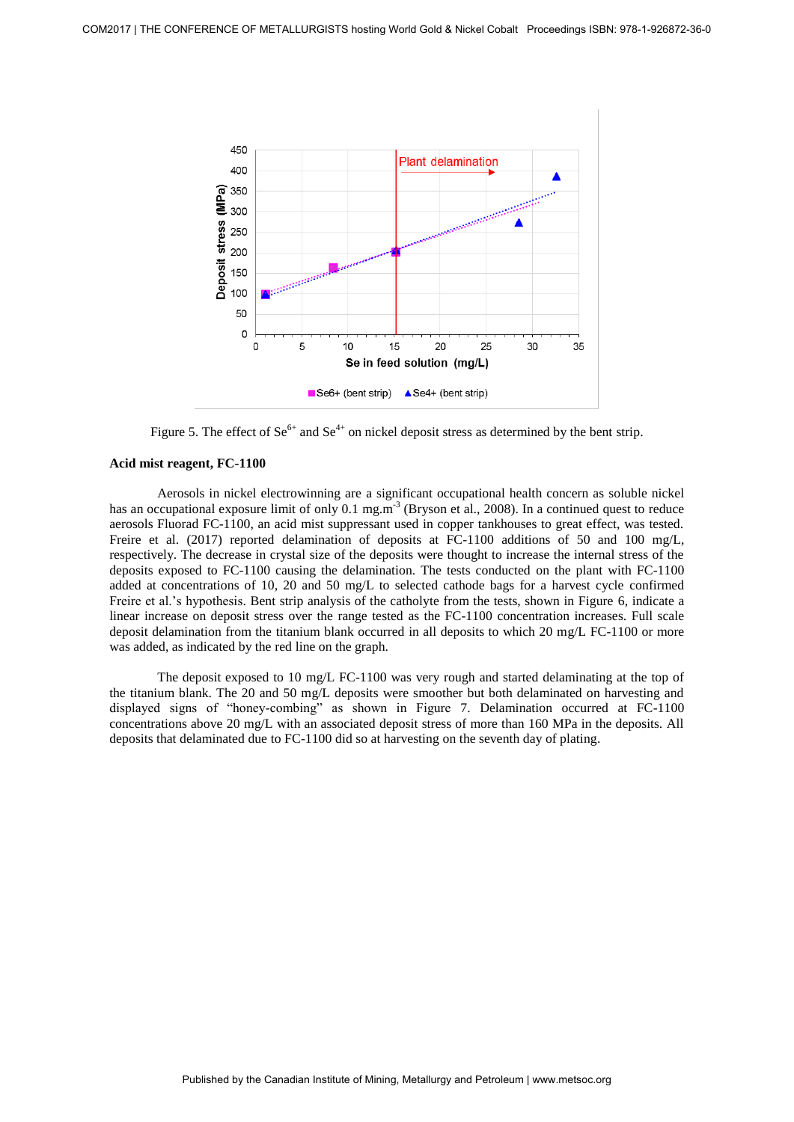

Figure 5. The effect of  $\text{Se}^{6+}$  and  $\text{Se}^{4+}$  on nickel deposit stress as determined by the bent strip.

#### **Acid mist reagent, FC-1100**

Aerosols in nickel electrowinning are a significant occupational health concern as soluble nickel has an occupational exposure limit of only 0.1 mg.m<sup>-3</sup> (Bryson et al., 2008). In a continued quest to reduce aerosols Fluorad FC-1100, an acid mist suppressant used in copper tankhouses to great effect, was tested. Freire et al. (2017) reported delamination of deposits at FC-1100 additions of 50 and 100 mg/L, respectively. The decrease in crystal size of the deposits were thought to increase the internal stress of the deposits exposed to FC-1100 causing the delamination. The tests conducted on the plant with FC-1100 added at concentrations of 10, 20 and 50 mg/L to selected cathode bags for a harvest cycle confirmed Freire et al.'s hypothesis. Bent strip analysis of the catholyte from the tests, shown in Figure 6, indicate a linear increase on deposit stress over the range tested as the FC-1100 concentration increases. Full scale deposit delamination from the titanium blank occurred in all deposits to which 20 mg/L FC-1100 or more was added, as indicated by the red line on the graph.

The deposit exposed to 10 mg/L FC-1100 was very rough and started delaminating at the top of the titanium blank. The 20 and 50 mg/L deposits were smoother but both delaminated on harvesting and displayed signs of "honey-combing" as shown in Figure 7. Delamination occurred at FC-1100 concentrations above 20 mg/L with an associated deposit stress of more than 160 MPa in the deposits. All deposits that delaminated due to FC-1100 did so at harvesting on the seventh day of plating.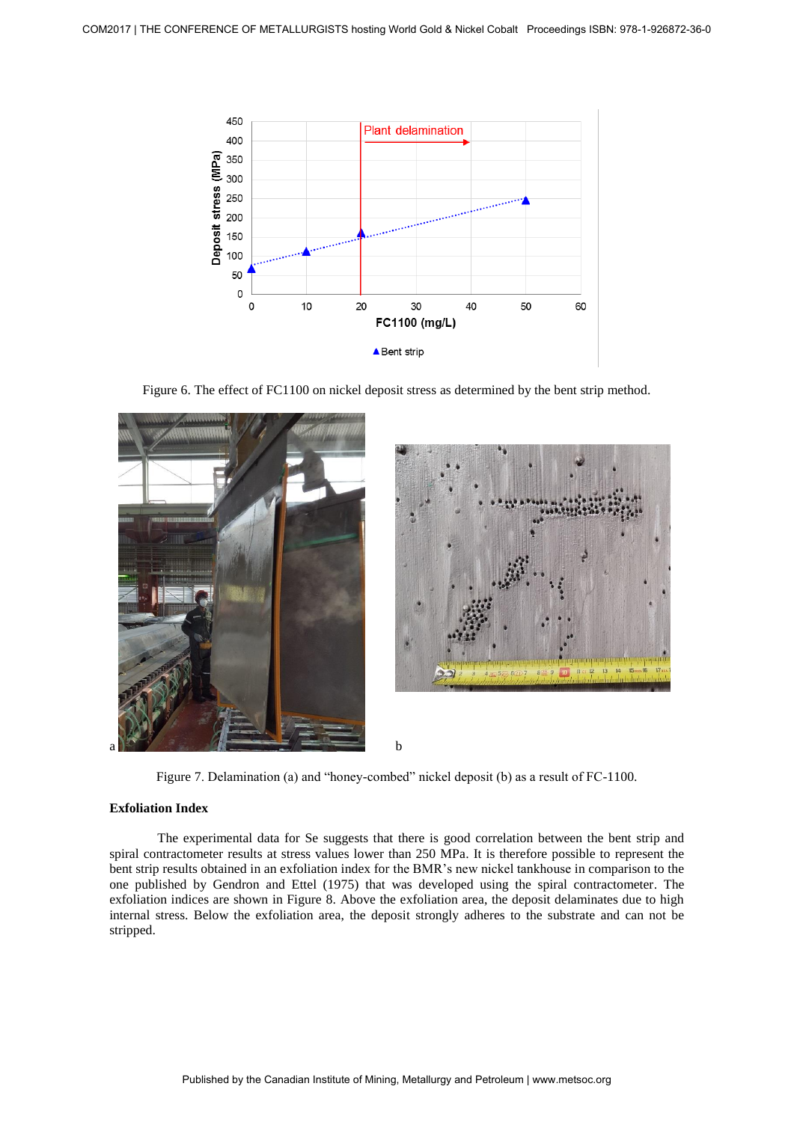

Figure 6. The effect of FC1100 on nickel deposit stress as determined by the bent strip method.



Figure 7. Delamination (a) and "honey-combed" nickel deposit (b) as a result of FC-1100.

## **Exfoliation Index**

The experimental data for Se suggests that there is good correlation between the bent strip and spiral contractometer results at stress values lower than 250 MPa. It is therefore possible to represent the bent strip results obtained in an exfoliation index for the BMR's new nickel tankhouse in comparison to the one published by Gendron and Ettel (1975) that was developed using the spiral contractometer. The exfoliation indices are shown in Figure 8. Above the exfoliation area, the deposit delaminates due to high internal stress. Below the exfoliation area, the deposit strongly adheres to the substrate and can not be stripped.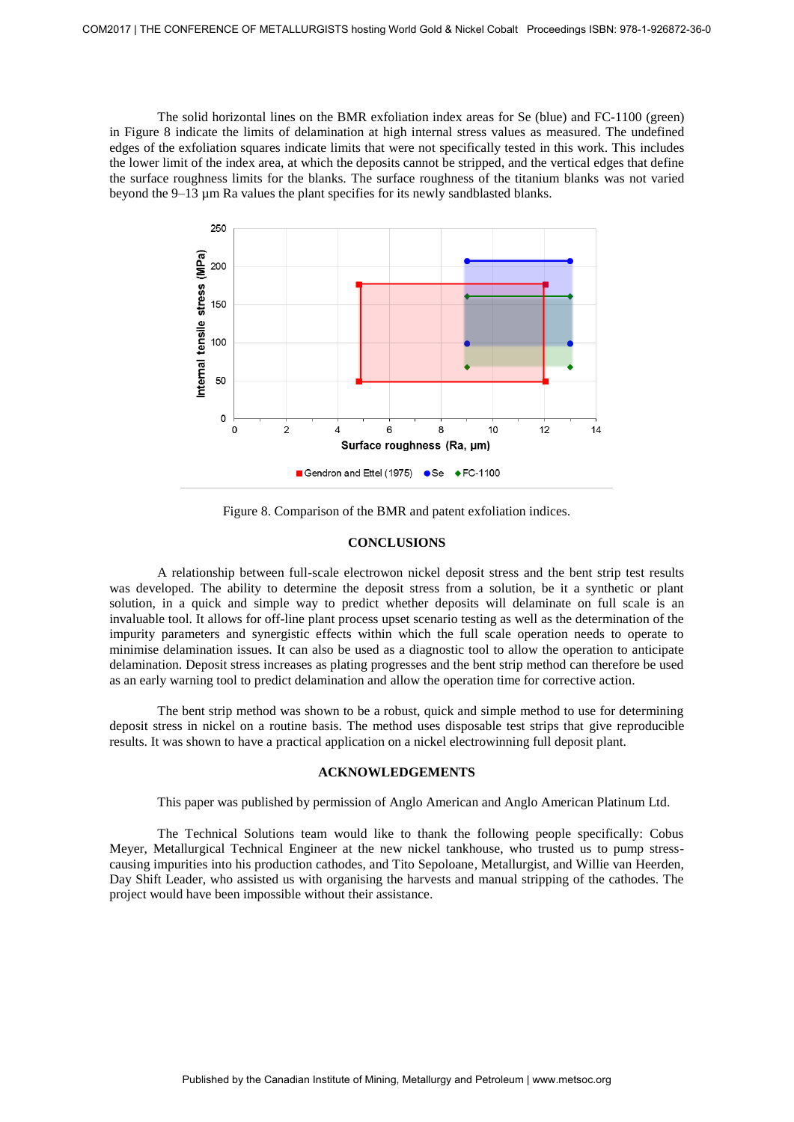The solid horizontal lines on the BMR exfoliation index areas for Se (blue) and FC-1100 (green) in Figure 8 indicate the limits of delamination at high internal stress values as measured. The undefined edges of the exfoliation squares indicate limits that were not specifically tested in this work. This includes the lower limit of the index area, at which the deposits cannot be stripped, and the vertical edges that define the surface roughness limits for the blanks. The surface roughness of the titanium blanks was not varied beyond the 9–13 µm Ra values the plant specifies for its newly sandblasted blanks.



Figure 8. Comparison of the BMR and patent exfoliation indices.

### **CONCLUSIONS**

A relationship between full-scale electrowon nickel deposit stress and the bent strip test results was developed. The ability to determine the deposit stress from a solution, be it a synthetic or plant solution, in a quick and simple way to predict whether deposits will delaminate on full scale is an invaluable tool. It allows for off-line plant process upset scenario testing as well as the determination of the impurity parameters and synergistic effects within which the full scale operation needs to operate to minimise delamination issues. It can also be used as a diagnostic tool to allow the operation to anticipate delamination. Deposit stress increases as plating progresses and the bent strip method can therefore be used as an early warning tool to predict delamination and allow the operation time for corrective action.

The bent strip method was shown to be a robust, quick and simple method to use for determining deposit stress in nickel on a routine basis. The method uses disposable test strips that give reproducible results. It was shown to have a practical application on a nickel electrowinning full deposit plant.

## **ACKNOWLEDGEMENTS**

This paper was published by permission of Anglo American and Anglo American Platinum Ltd.

The Technical Solutions team would like to thank the following people specifically: Cobus Meyer, Metallurgical Technical Engineer at the new nickel tankhouse, who trusted us to pump stresscausing impurities into his production cathodes, and Tito Sepoloane, Metallurgist, and Willie van Heerden, Day Shift Leader, who assisted us with organising the harvests and manual stripping of the cathodes. The project would have been impossible without their assistance.